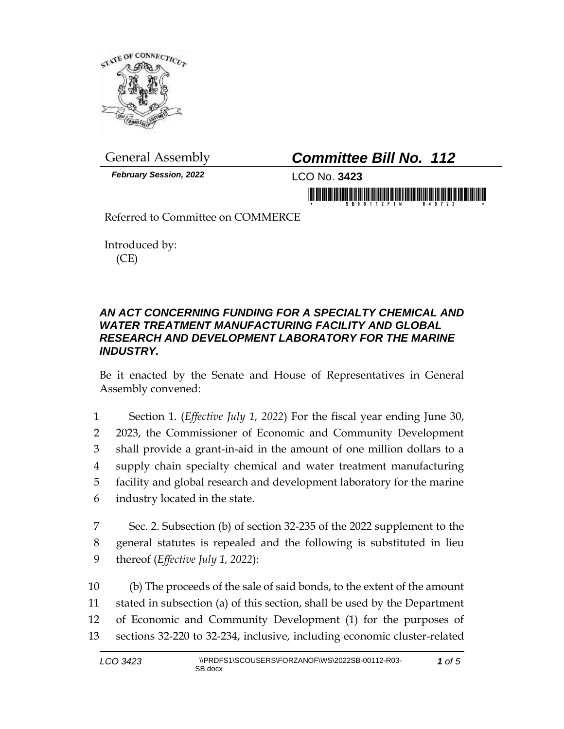

*February Session, 2022* LCO No. **3423**

## General Assembly *Committee Bill No. 112*

i in munumi ili bi bilinin ili hilimmili

Referred to Committee on COMMERCE

Introduced by: (CE)

## *AN ACT CONCERNING FUNDING FOR A SPECIALTY CHEMICAL AND WATER TREATMENT MANUFACTURING FACILITY AND GLOBAL RESEARCH AND DEVELOPMENT LABORATORY FOR THE MARINE INDUSTRY.*

Be it enacted by the Senate and House of Representatives in General Assembly convened:

 Section 1. (*Effective July 1, 2022*) For the fiscal year ending June 30, 2023, the Commissioner of Economic and Community Development shall provide a grant-in-aid in the amount of one million dollars to a supply chain specialty chemical and water treatment manufacturing facility and global research and development laboratory for the marine industry located in the state.

7 Sec. 2. Subsection (b) of section 32-235 of the 2022 supplement to the 8 general statutes is repealed and the following is substituted in lieu 9 thereof (*Effective July 1, 2022*):

 (b) The proceeds of the sale of said bonds, to the extent of the amount stated in subsection (a) of this section, shall be used by the Department of Economic and Community Development (1) for the purposes of sections 32-220 to 32-234, inclusive, including economic cluster-related

*1 of 5*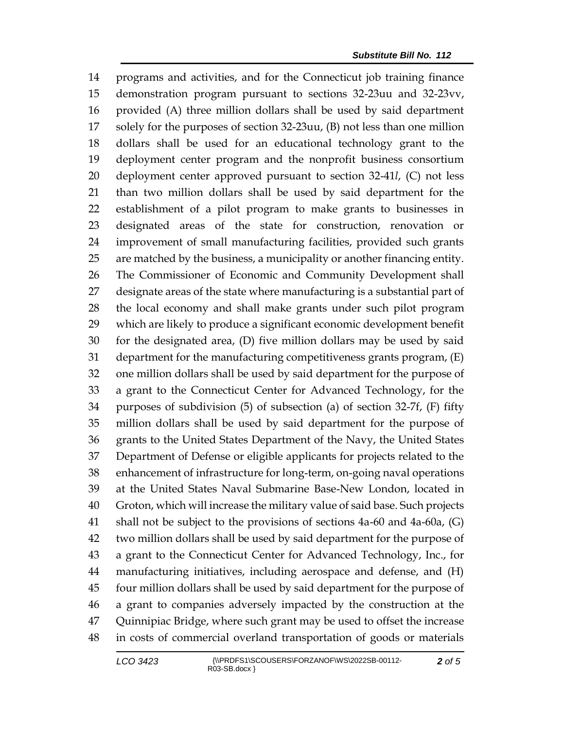programs and activities, and for the Connecticut job training finance demonstration program pursuant to sections 32-23uu and 32-23vv, provided (A) three million dollars shall be used by said department solely for the purposes of section 32-23uu, (B) not less than one million dollars shall be used for an educational technology grant to the deployment center program and the nonprofit business consortium deployment center approved pursuant to section 32-41*l*, (C) not less than two million dollars shall be used by said department for the establishment of a pilot program to make grants to businesses in designated areas of the state for construction, renovation or improvement of small manufacturing facilities, provided such grants are matched by the business, a municipality or another financing entity. The Commissioner of Economic and Community Development shall designate areas of the state where manufacturing is a substantial part of the local economy and shall make grants under such pilot program which are likely to produce a significant economic development benefit for the designated area, (D) five million dollars may be used by said department for the manufacturing competitiveness grants program, (E) one million dollars shall be used by said department for the purpose of a grant to the Connecticut Center for Advanced Technology, for the purposes of subdivision (5) of subsection (a) of section 32-7f, (F) fifty million dollars shall be used by said department for the purpose of grants to the United States Department of the Navy, the United States Department of Defense or eligible applicants for projects related to the enhancement of infrastructure for long-term, on-going naval operations at the United States Naval Submarine Base-New London, located in Groton, which will increase the military value of said base. Such projects shall not be subject to the provisions of sections 4a-60 and 4a-60a, (G) two million dollars shall be used by said department for the purpose of a grant to the Connecticut Center for Advanced Technology, Inc., for manufacturing initiatives, including aerospace and defense, and (H) four million dollars shall be used by said department for the purpose of a grant to companies adversely impacted by the construction at the Quinnipiac Bridge, where such grant may be used to offset the increase in costs of commercial overland transportation of goods or materials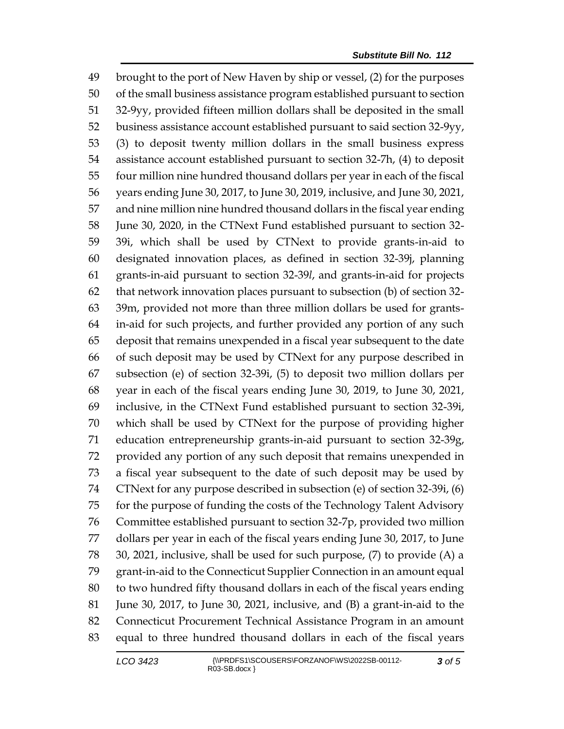brought to the port of New Haven by ship or vessel, (2) for the purposes of the small business assistance program established pursuant to section 32-9yy, provided fifteen million dollars shall be deposited in the small business assistance account established pursuant to said section 32-9yy, (3) to deposit twenty million dollars in the small business express assistance account established pursuant to section 32-7h, (4) to deposit four million nine hundred thousand dollars per year in each of the fiscal years ending June 30, 2017, to June 30, 2019, inclusive, and June 30, 2021, and nine million nine hundred thousand dollars in the fiscal year ending June 30, 2020, in the CTNext Fund established pursuant to section 32- 39i, which shall be used by CTNext to provide grants-in-aid to designated innovation places, as defined in section 32-39j, planning grants-in-aid pursuant to section 32-39*l*, and grants-in-aid for projects that network innovation places pursuant to subsection (b) of section 32- 39m, provided not more than three million dollars be used for grants- in-aid for such projects, and further provided any portion of any such deposit that remains unexpended in a fiscal year subsequent to the date of such deposit may be used by CTNext for any purpose described in subsection (e) of section 32-39i, (5) to deposit two million dollars per year in each of the fiscal years ending June 30, 2019, to June 30, 2021, inclusive, in the CTNext Fund established pursuant to section 32-39i, which shall be used by CTNext for the purpose of providing higher education entrepreneurship grants-in-aid pursuant to section 32-39g, provided any portion of any such deposit that remains unexpended in a fiscal year subsequent to the date of such deposit may be used by CTNext for any purpose described in subsection (e) of section 32-39i, (6) for the purpose of funding the costs of the Technology Talent Advisory Committee established pursuant to section 32-7p, provided two million dollars per year in each of the fiscal years ending June 30, 2017, to June 30, 2021, inclusive, shall be used for such purpose, (7) to provide (A) a grant-in-aid to the Connecticut Supplier Connection in an amount equal to two hundred fifty thousand dollars in each of the fiscal years ending June 30, 2017, to June 30, 2021, inclusive, and (B) a grant-in-aid to the Connecticut Procurement Technical Assistance Program in an amount equal to three hundred thousand dollars in each of the fiscal years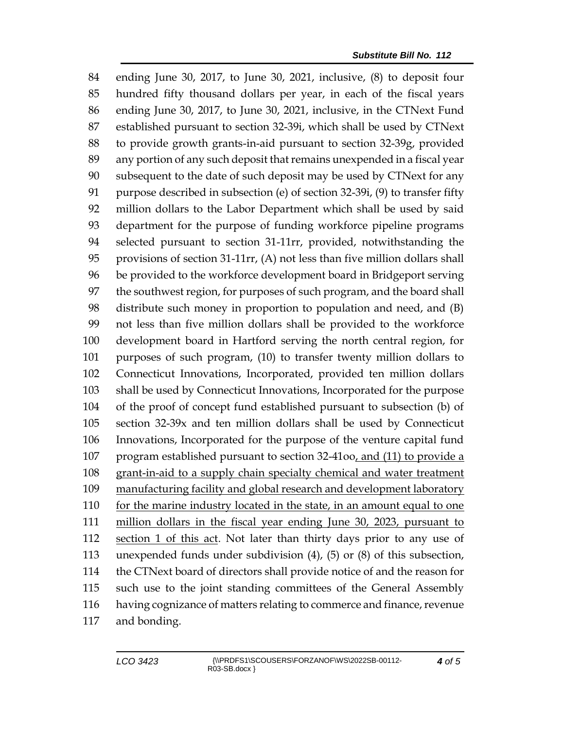ending June 30, 2017, to June 30, 2021, inclusive, (8) to deposit four hundred fifty thousand dollars per year, in each of the fiscal years ending June 30, 2017, to June 30, 2021, inclusive, in the CTNext Fund established pursuant to section 32-39i, which shall be used by CTNext to provide growth grants-in-aid pursuant to section 32-39g, provided any portion of any such deposit that remains unexpended in a fiscal year subsequent to the date of such deposit may be used by CTNext for any purpose described in subsection (e) of section 32-39i, (9) to transfer fifty million dollars to the Labor Department which shall be used by said department for the purpose of funding workforce pipeline programs selected pursuant to section 31-11rr, provided, notwithstanding the provisions of section 31-11rr, (A) not less than five million dollars shall be provided to the workforce development board in Bridgeport serving the southwest region, for purposes of such program, and the board shall distribute such money in proportion to population and need, and (B) not less than five million dollars shall be provided to the workforce development board in Hartford serving the north central region, for purposes of such program, (10) to transfer twenty million dollars to Connecticut Innovations, Incorporated, provided ten million dollars shall be used by Connecticut Innovations, Incorporated for the purpose of the proof of concept fund established pursuant to subsection (b) of section 32-39x and ten million dollars shall be used by Connecticut Innovations, Incorporated for the purpose of the venture capital fund program established pursuant to section 32-41oo, and (11) to provide a grant-in-aid to a supply chain specialty chemical and water treatment manufacturing facility and global research and development laboratory for the marine industry located in the state, in an amount equal to one million dollars in the fiscal year ending June 30, 2023, pursuant to section 1 of this act. Not later than thirty days prior to any use of unexpended funds under subdivision (4), (5) or (8) of this subsection, the CTNext board of directors shall provide notice of and the reason for such use to the joint standing committees of the General Assembly having cognizance of matters relating to commerce and finance, revenue and bonding.